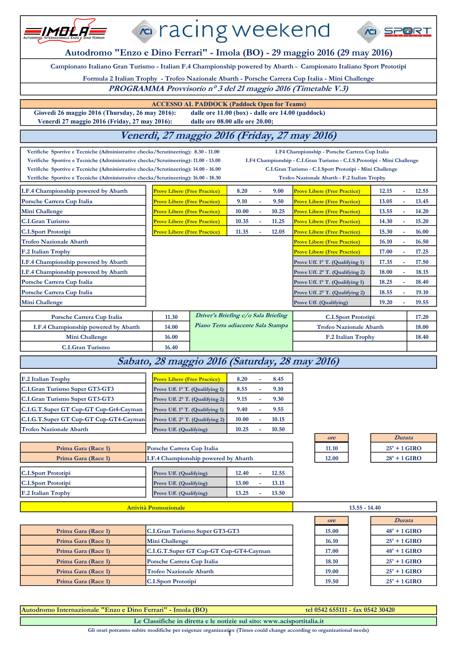|                                                                                                                                                                                                                                                                                                                                                                                                                                                                                                                                                                                             | l∞ racing weekend                                       |                                                   |       |    |       |                                                                                                  |                         |       |
|---------------------------------------------------------------------------------------------------------------------------------------------------------------------------------------------------------------------------------------------------------------------------------------------------------------------------------------------------------------------------------------------------------------------------------------------------------------------------------------------------------------------------------------------------------------------------------------------|---------------------------------------------------------|---------------------------------------------------|-------|----|-------|--------------------------------------------------------------------------------------------------|-------------------------|-------|
| Autodromo "Enzo e Dino Ferrari" - Imola (BO) - 29 maggio 2016 (29 may 2016)                                                                                                                                                                                                                                                                                                                                                                                                                                                                                                                 |                                                         |                                                   |       |    |       |                                                                                                  |                         |       |
| Campionato Italiano Gran Turismo - Italian F.4 Championship powered by Abarth - Campionato Italiano Sport Prototipi                                                                                                                                                                                                                                                                                                                                                                                                                                                                         |                                                         |                                                   |       |    |       |                                                                                                  |                         |       |
|                                                                                                                                                                                                                                                                                                                                                                                                                                                                                                                                                                                             |                                                         |                                                   |       |    |       | Formula 2 Italian Trophy - Trofeo Nazionale Abarth - Porsche Carrera Cup Italia - Mini Challenge |                         |       |
|                                                                                                                                                                                                                                                                                                                                                                                                                                                                                                                                                                                             |                                                         |                                                   |       |    |       | PROGRAMMA Provvisorio nº 3 del 21 maggio 2016 (Timetable V.3)                                    |                         |       |
|                                                                                                                                                                                                                                                                                                                                                                                                                                                                                                                                                                                             |                                                         |                                                   |       |    |       |                                                                                                  |                         |       |
| Giovedì 26 maggio 2016 (Thursday, 26 may 2016):                                                                                                                                                                                                                                                                                                                                                                                                                                                                                                                                             | <b>ACCESSO AL PADDOCK (Paddock Open for Teams)</b>      | dalle ore 11.00 (box) - dalle ore 14.00 (paddock) |       |    |       |                                                                                                  |                         |       |
| Venerdì 27 maggio 2016 (Friday, 27 may 2016):                                                                                                                                                                                                                                                                                                                                                                                                                                                                                                                                               |                                                         | dalle ore 08.00 alle ore 20.00;                   |       |    |       |                                                                                                  |                         |       |
|                                                                                                                                                                                                                                                                                                                                                                                                                                                                                                                                                                                             |                                                         |                                                   |       |    |       | Venerdi, 27 maggio 2016 (Friday, 27 may 2016)                                                    |                         |       |
| Verifiche Sportive e Tecniche (Administrative checks/Scrutineering): 8.30 - 11.00<br>I.F4 Championship - Porsche Carrera Cup Italia<br>I.F4 Championship - C.I.Gran Turismo - C.I.S.Prototipi - Mini Challenge<br>Verifiche Sportive e Tecniche (Administrative checks/Scrutineering): 11.00 - 13.00<br>C.I.Gran Turismo - C.I.Sport Prototipi - Mini Challenge<br>Verifiche Sportive e Tecniche (Administrative checks/Scrutineering): 14.00 - 16.00<br>Verifiche Sportive e Tecniche (Administrative checks/Scrutineering): 16.00 - 18.30<br>Trofeo Nazionale Abarth - F.2 Italian Trophy |                                                         |                                                   |       |    |       |                                                                                                  |                         |       |
| I.F.4 Championship powered by Abarth                                                                                                                                                                                                                                                                                                                                                                                                                                                                                                                                                        | <b>Prove Libere (Free Practice)</b>                     |                                                   | 8.20  |    | 9.00  | <b>Prove Libere (Free Practice)</b>                                                              | 12.15                   | 12.55 |
| Porsche Carrera Cup Italia                                                                                                                                                                                                                                                                                                                                                                                                                                                                                                                                                                  | <b>Prove Libere (Free Practice)</b>                     |                                                   | 9.10  | L, | 9.50  | <b>Prove Libere (Free Practice)</b>                                                              | 13.05                   | 13.45 |
| Mini Challenge                                                                                                                                                                                                                                                                                                                                                                                                                                                                                                                                                                              | <b>Prove Libere (Free Practice)</b>                     |                                                   | 10.00 | L, | 10.25 | <b>Prove Libere (Free Practice)</b>                                                              | 13.55<br>$\overline{a}$ | 14.20 |
| <b>C.I.Gran Turismo</b>                                                                                                                                                                                                                                                                                                                                                                                                                                                                                                                                                                     | <b>Prove Libere (Free Practice)</b>                     |                                                   | 10.35 | ä, | 11.25 | <b>Prove Libere (Free Practice)</b>                                                              | 14.30                   | 15.20 |
| <b>C.I.Sport Prototipi</b>                                                                                                                                                                                                                                                                                                                                                                                                                                                                                                                                                                  | <b>Prove Libere (Free Practice)</b>                     |                                                   | 11.35 | ä, | 12.05 | <b>Prove Libere (Free Practice)</b>                                                              | 15.30<br>÷,             | 16.00 |
| <b>Trofeo Nazionale Abarth</b>                                                                                                                                                                                                                                                                                                                                                                                                                                                                                                                                                              |                                                         |                                                   |       |    |       | <b>Prove Libere (Free Practice)</b>                                                              | 16.10                   | 16.50 |
| F.2 Italian Trophy                                                                                                                                                                                                                                                                                                                                                                                                                                                                                                                                                                          |                                                         |                                                   |       |    |       | <b>Prove Libere (Free Practice)</b>                                                              | 17.00<br>÷              | 17.25 |
| I.F.4 Championship powered by Abarth                                                                                                                                                                                                                                                                                                                                                                                                                                                                                                                                                        |                                                         |                                                   |       |    |       | Prove Uff. 1° T. (Qualifying 1)                                                                  | 17.35                   | 17.50 |
| I.F.4 Championship powered by Abarth                                                                                                                                                                                                                                                                                                                                                                                                                                                                                                                                                        | 18.00<br>18.15<br>Prove Uff. 2° T. (Qualifying 2)       |                                                   |       |    |       |                                                                                                  |                         |       |
| Porsche Carrera Cup Italia                                                                                                                                                                                                                                                                                                                                                                                                                                                                                                                                                                  | 18.25<br>18.40<br>Prove Uff. 1° T. (Qualifying 1)<br>÷, |                                                   |       |    |       |                                                                                                  |                         |       |
| Porsche Carrera Cup Italia                                                                                                                                                                                                                                                                                                                                                                                                                                                                                                                                                                  | 18.55<br>Prove Uff. 2° T. (Qualifying 2)                |                                                   |       |    |       | 19.10                                                                                            |                         |       |
| <b>Mini Challenge</b>                                                                                                                                                                                                                                                                                                                                                                                                                                                                                                                                                                       | 19.20<br>19.55<br>Prove Uff. (Qualifying)<br>L.         |                                                   |       |    |       |                                                                                                  |                         |       |
| Porsche Carrera Cup Italia                                                                                                                                                                                                                                                                                                                                                                                                                                                                                                                                                                  | 11.30                                                   | Driver's Briefing c/o Sala Briefing               |       |    |       | <b>C.I.Sport Prototipi</b>                                                                       |                         | 17.20 |
| I.F.4 Championship powered by Abarth                                                                                                                                                                                                                                                                                                                                                                                                                                                                                                                                                        | 14.00                                                   | Piano Terra adiacente Sala Stampa                 |       |    |       | <b>Trofeo Nazionale Abarth</b>                                                                   |                         | 18.00 |
| <b>Mini Challenge</b>                                                                                                                                                                                                                                                                                                                                                                                                                                                                                                                                                                       | 16.00                                                   |                                                   |       |    |       | F.2 Italian Trophy                                                                               |                         | 18.40 |

## **Sabato, 28 maggio 2016 (Saturday, 28 may 2016)**

| F.2 Italian Trophy                     | <b>Prove Libere (Free Practice)</b> | 8.20  | ۰ | 8.45  |
|----------------------------------------|-------------------------------------|-------|---|-------|
| C.I.Gran Turismo Super GT3-GT3         | Prove Uff. 1° T. (Qualifying 1)     | 8.55  |   | 9.10  |
| C.I.Gran Turismo Super GT3-GT3         | Prove Uff. 2° T. (Qualifying 2)     | 9.15  |   | 9.30  |
| C.I.G.T.Super GT Cup-GT Cup-Gt4-Cayman | Prove Uff. 1° T. (Qualifying 1)     | 9.40  |   | 9.55  |
| C.I.G.T.Super GT Cup-GT Cup-GT4-Cayman | Prove Uff. 2° T. (Qualifying 2)     | 10.00 |   | 10.15 |
| <b>Trofeo Nazionale Abarth</b>         | Prove Uff. (Qualifying)             | 10.25 |   | 10.50 |

**C.I.Gran Turismo** 

**16.40**

| Prima Gara (Race 1)        | Porsche Carrera Cup Italia           |                |  | 11.10 | $25' + 1$ GIRO |
|----------------------------|--------------------------------------|----------------|--|-------|----------------|
| Prima Gara (Race 1)        | I.F.4 Championship powered by Abarth |                |  | 12.00 | $28' + 1$ GIRO |
|                            |                                      |                |  |       |                |
| <b>C.I.Sport Prototipi</b> | Prove Uff. (Qualifying)              | 12.55<br>12.40 |  |       |                |
| <b>C.I.Sport Prototipi</b> | Prove Uff. (Qualifying)              | 13.15<br>13.00 |  |       |                |
| F.2 Italian Trophy         | Prove Uff. (Qualifying)              | 13.50<br>13.25 |  |       |                |
|                            |                                      |                |  |       |                |

#### **Attività Promozionale 13.55 - 14.40**

| Prima Gara (Race 1) | <b>C.I.Gran Turismo Super GT3-GT3</b>  | 15.00 | $48' + 1$ GIRO |
|---------------------|----------------------------------------|-------|----------------|
| Prima Gara (Race 1) | Mini Challenge                         | 16.10 | $25' + 1$ GIRO |
| Prima Gara (Race 1) | C.I.G.T.Super GT Cup-GT Cup-GT4-Cayman | 17.00 | $48' + 1$ GIRO |
| Prima Gara (Race 1) | Porsche Carrera Cup Italia             | 18.10 | $25' + 1$ GIRO |
| Prima Gara (Race 1) | <b>Trofeo Nazionale Abarth</b>         | 19.00 | $25' + 1$ GIRO |
| Prima Gara (Race 1) | <b>C.I.Sport Prototipi</b>             | 19.50 | $25' + 1$ GIRO |

| ore   |
|-------|
| 11.10 |
| 12.00 |

| <i>Durata</i> |                |  |  |  |
|---------------|----------------|--|--|--|
|               | $25' + 1$ GIRO |  |  |  |
|               | $28' + 1$ GIRO |  |  |  |

| 13.55 - 14.40  |  |  |  |  |  |
|----------------|--|--|--|--|--|
| <b>Durata</b>  |  |  |  |  |  |
| $48' + 1$ GIRO |  |  |  |  |  |
| $25' + 1$ GIRO |  |  |  |  |  |
| $48' + 1$ GIRO |  |  |  |  |  |
| $25' + 1$ GIRO |  |  |  |  |  |
| $25' + 1$ GIRO |  |  |  |  |  |
| $25' + 1$ GIRO |  |  |  |  |  |
|                |  |  |  |  |  |

its.

**Autodromo Internazionale "Enzo e Dino Ferrari" - Imola (BO) tel 0542 655111 - fax 0542 30420 Le Classifiche in diretta e le notizie sul sito: www.acisportitalia.it**

Gli orari potranno subire modifiche per esigenze organizzative (Times could change according to organizational needs)